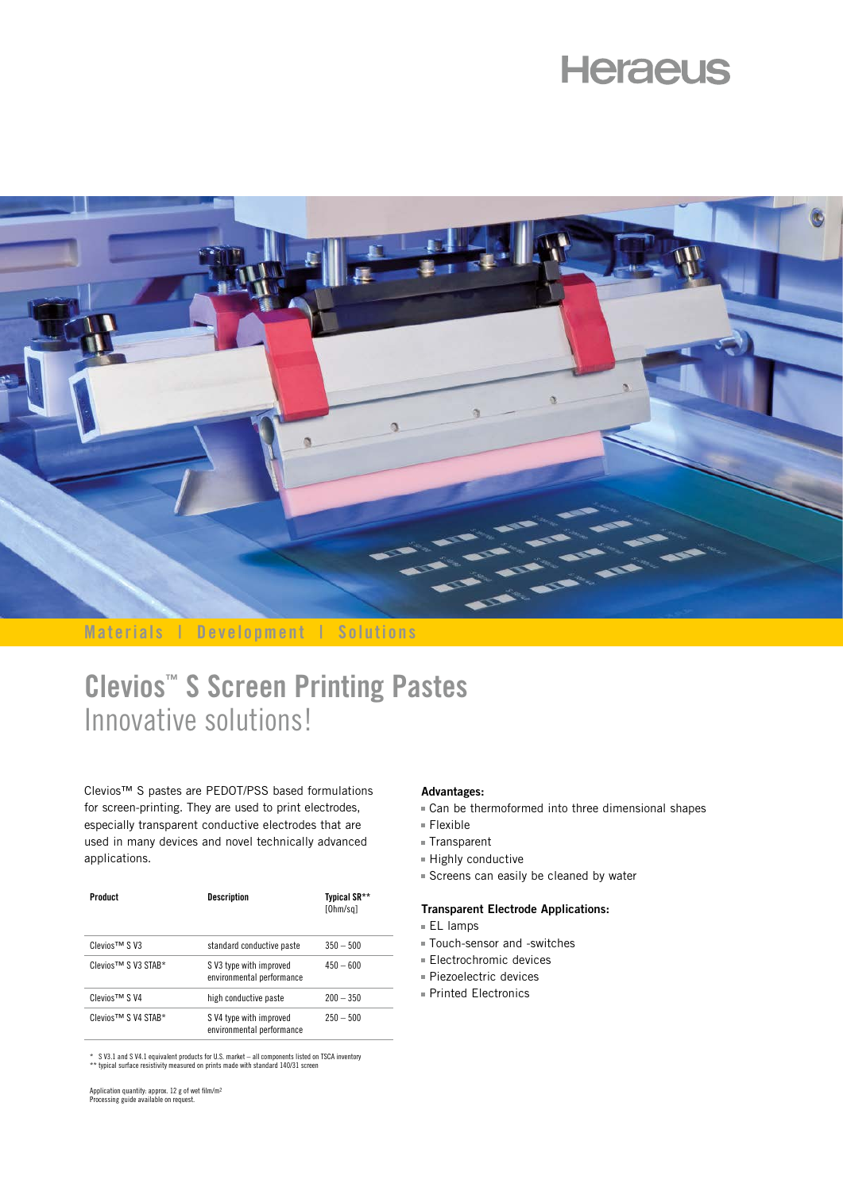# **Heraeus**



**Materials | Development | Solutions**

# **Clevios™ S Screen Printing Pastes** Innovative solutions!

Clevios™ S pastes are PEDOT/PSS based formulations for screen-printing. They are used to print electrodes, especially transparent conductive electrodes that are used in many devices and novel technically advanced applications.

| Product             | <b>Description</b>                                  | Typical SR**<br>[Ohm/sq] |
|---------------------|-----------------------------------------------------|--------------------------|
| Clevios™ SV3        | standard conductive paste                           | $350 - 500$              |
| Clevios™ S V3 STAB* | SV3 type with improved<br>environmental performance | $450 - 600$              |
| Clevios™ SV4        | high conductive paste                               | $200 - 350$              |
| Clevios™ S V4 STAB* | SV4 type with improved<br>environmental performance | $250 - 500$              |

\* S V3.1 and S V4.1 equivalent products for U.S. market – all components listed on TSCA inventory \*\* typical surface resistivity measured on prints made with standard 140/31 screen

Application quantity: approx. 12 g of wet film/m2 Processing guide available on request.

#### **Advantages:**

- Can be thermoformed into three dimensional shapes
- Flexible
- Transparent
- Highly conductive
- Screens can easily be cleaned by water

### **Transparent Electrode Applications:**

- $E$ L lamps
- Touch-sensor and -switches
- **Electrochromic devices**
- Piezoelectric devices
- Printed Electronics